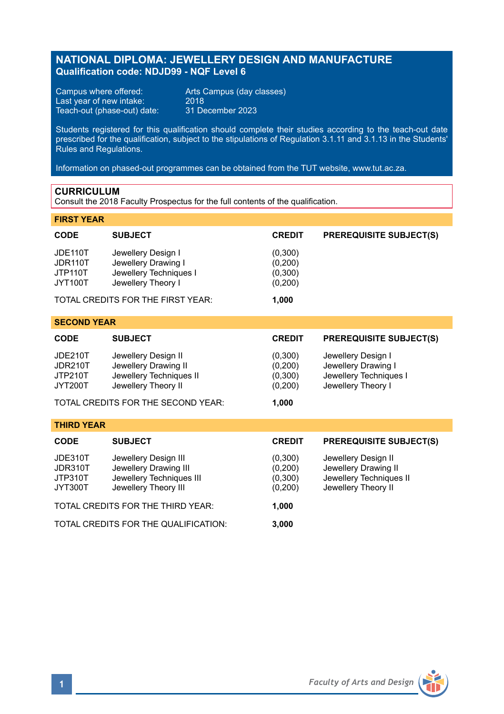# **NATIONAL DIPLOMA: JEWELLERY DESIGN AND MANUFACTURE Qualification code: NDJD99 - NQF Level 6**

Campus where offered: Arts Campus (day classes)<br>Last year of new intake: 2018 Last year of new intake: 2018 Teach-out (phase-out) date: 31 December 2023

Students registered for this qualification should complete their studies according to the teach-out date prescribed for the qualification, subject to the stipulations of Regulation 3.1.11 and 3.1.13 in the Students' Rules and Regulations.

Information on phased-out programmes can be obtained from the TUT website, www.tut.ac.za.

## **CURRICULUM**

Consult the 2018 Faculty Prospectus for the full contents of the qualification.

| <b>FIRST YEAR</b>                                      |                                                                                                   |                                           |                                                                                               |
|--------------------------------------------------------|---------------------------------------------------------------------------------------------------|-------------------------------------------|-----------------------------------------------------------------------------------------------|
| <b>CODE</b>                                            | <b>SUBJECT</b>                                                                                    | <b>CREDIT</b>                             | <b>PREREQUISITE SUBJECT(S)</b>                                                                |
| JDE110T<br>JDR110T<br>JTP110T<br>JYT100T               | Jewellery Design I<br>Jewellery Drawing I<br>Jewellery Techniques I<br>Jewellery Theory I         | (0,300)<br>(0,200)<br>(0,300)<br>(0,200)  |                                                                                               |
|                                                        | TOTAL CREDITS FOR THE FIRST YEAR:                                                                 | 1,000                                     |                                                                                               |
| <b>SECOND YEAR</b>                                     |                                                                                                   |                                           |                                                                                               |
| <b>CODE</b>                                            | <b>SUBJECT</b>                                                                                    | <b>CREDIT</b>                             | <b>PREREQUISITE SUBJECT(S)</b>                                                                |
| <b>JDE210T</b><br><b>JDR210T</b><br>JTP210T<br>JYT200T | Jewellery Design II<br>Jewellery Drawing II<br>Jewellery Techniques II<br>Jewellery Theory II     | (0,300)<br>(0, 200)<br>(0,300)<br>(0,200) | Jewellery Design I<br>Jewellery Drawing I<br>Jewellery Techniques I<br>Jewellery Theory I     |
|                                                        | TOTAL CREDITS FOR THE SECOND YEAR:                                                                | 1.000                                     |                                                                                               |
| <b>THIRD YEAR</b>                                      |                                                                                                   |                                           |                                                                                               |
| <b>CODE</b>                                            | <b>SUBJECT</b>                                                                                    | <b>CREDIT</b>                             | <b>PREREQUISITE SUBJECT(S)</b>                                                                |
| JDE310T<br>JDR310T<br>JTP310T<br>JYT300T               | Jewellery Design III<br>Jewellery Drawing III<br>Jewellery Techniques III<br>Jewellery Theory III | (0,300)<br>(0, 200)<br>(0,300)<br>(0,200) | Jewellery Design II<br>Jewellery Drawing II<br>Jewellery Techniques II<br>Jewellery Theory II |
| TOTAL CREDITS FOR THE THIRD YEAR:<br>1,000             |                                                                                                   |                                           |                                                                                               |
| TOTAL CREDITS FOR THE QUALIFICATION:                   |                                                                                                   | 3,000                                     |                                                                                               |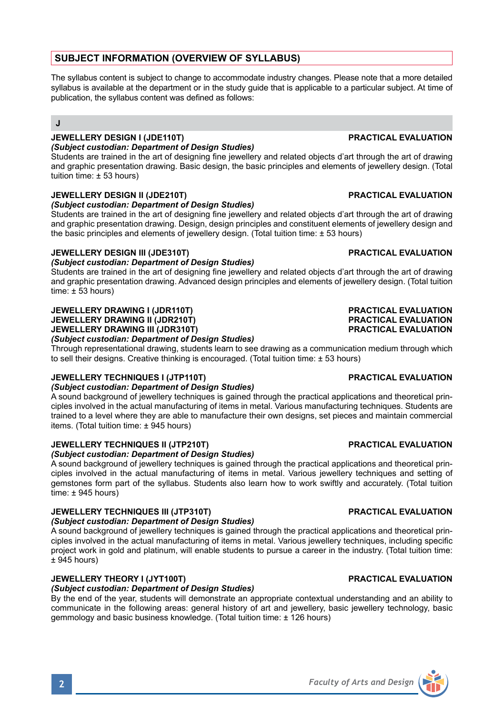# **SUBJECT INFORMATION (OVERVIEW OF SYLLABUS)**

The syllabus content is subject to change to accommodate industry changes. Please note that a more detailed syllabus is available at the department or in the study guide that is applicable to a particular subject. At time of publication, the syllabus content was defined as follows:

## **J**

## **JEWELLERY DESIGN I (JDE110T) PRACTICAL EVALUATION**

*(Subject custodian: Department of Design Studies)*

Students are trained in the art of designing fine jewellery and related objects d'art through the art of drawing and graphic presentation drawing. Basic design, the basic principles and elements of jewellery design. (Total tuition time: ± 53 hours)

### **JEWELLERY DESIGN II (JDE210T) PRACTICAL EVALUATION**

#### *(Subject custodian: Department of Design Studies)*

Students are trained in the art of designing fine jewellery and related objects d'art through the art of drawing and graphic presentation drawing. Design, design principles and constituent elements of jewellery design and the basic principles and elements of jewellery design. (Total tuition time: ± 53 hours)

### **JEWELLERY DESIGN III (JDE310T) PRACTICAL EVALUATION**

### *(Subject custodian: Department of Design Studies)*

Students are trained in the art of designing fine jewellery and related objects d'art through the art of drawing and graphic presentation drawing. Advanced design principles and elements of jewellery design. (Total tuition  $time: \pm 53$  hours)

#### **JEWELLERY DRAWING I (JDR110T) PRACTICAL EVALUATION JEWELLERY DRAWING II (JDR210T) PRACTICAL EVALUATION JEWELLERY DRAWING III (JDR310T)** *(Subject custodian: Department of Design Studies)*

Through representational drawing, students learn to see drawing as a communication medium through which to sell their designs. Creative thinking is encouraged. (Total tuition time: ± 53 hours)

### **JEWELLERY TECHNIQUES I (JTP110T) PRACTICAL EVALUATION**

#### *(Subject custodian: Department of Design Studies)*

A sound background of jewellery techniques is gained through the practical applications and theoretical principles involved in the actual manufacturing of items in metal. Various manufacturing techniques. Students are trained to a level where they are able to manufacture their own designs, set pieces and maintain commercial items. (Total tuition time: ± 945 hours)

### **JEWELLERY TECHNIQUES II (JTP210T) PRACTICAL EVALUATION**

*(Subject custodian: Department of Design Studies)* A sound background of jewellery techniques is gained through the practical applications and theoretical principles involved in the actual manufacturing of items in metal. Various jewellery techniques and setting of gemstones form part of the syllabus. Students also learn how to work swiftly and accurately. (Total tuition  $time: ± 945 hours)$ 

### **JEWELLERY TECHNIQUES III (JTP310T) PRACTICAL EVALUATION**

*(Subject custodian: Department of Design Studies)*

A sound background of jewellery techniques is gained through the practical applications and theoretical principles involved in the actual manufacturing of items in metal. Various jewellery techniques, including specific project work in gold and platinum, will enable students to pursue a career in the industry. (Total tuition time:  $± 945$  hours)

## **JEWELLERY THEORY I (JYT100T) PRACTICAL EVALUATION**

### *(Subject custodian: Department of Design Studies)*

By the end of the year, students will demonstrate an appropriate contextual understanding and an ability to communicate in the following areas: general history of art and jewellery, basic jewellery technology, basic gemmology and basic business knowledge. (Total tuition time: ± 126 hours)